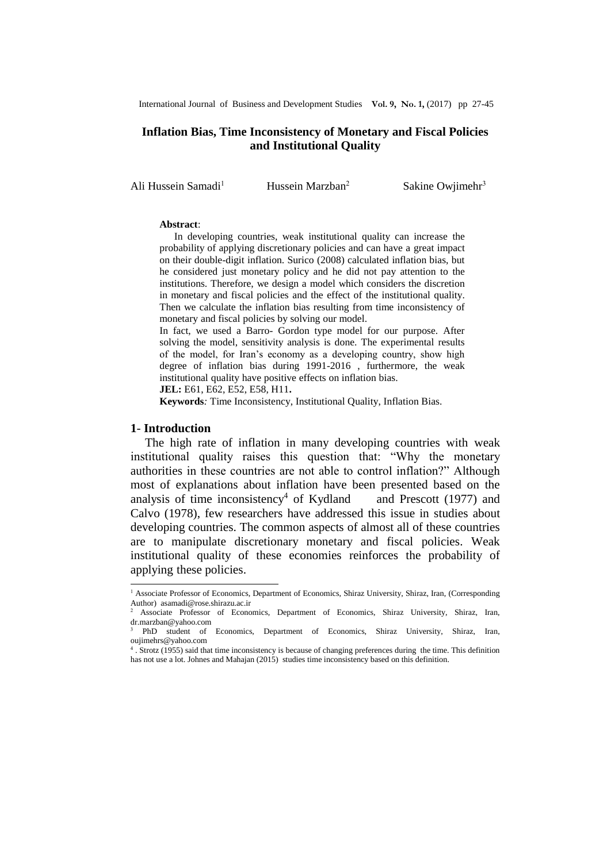International Journal of Business and Development Studies **Vol. 9, No. 1,** (2017) pp 27-45

# **Inflation Bias, Time Inconsistency of Monetary and Fiscal Policies and Institutional Quality**

Ali Hussein Samadi<sup>1</sup>

Hussein Marzban<sup>2</sup>

Sakine Owjimehr<sup>3</sup>

#### **Abstract**:

In developing countries, weak institutional quality can increase the probability of applying discretionary policies and can have a great impact on their double-digit inflation. Surico (2008) calculated inflation bias, but he considered just monetary policy and he did not pay attention to the institutions. Therefore, we design a model which considers the discretion in monetary and fiscal policies and the effect of the institutional quality. Then we calculate the inflation bias resulting from time inconsistency of monetary and fiscal policies by solving our model.

In fact, we used a Barro- Gordon type model for our purpose. After solving the model, sensitivity analysis is done. The experimental results of the model, for Iran's economy as a developing country, show high degree of inflation bias during 1991-2016 , furthermore, the weak institutional quality have positive effects on inflation bias.

**JEL:** E61, E62, E52, E58, H11**.**

**Keywords***:* Time Inconsistency, Institutional Quality, Inflation Bias.

#### **1**- **Introduction**

 $\overline{a}$ 

The high rate of inflation in many developing countries with weak institutional quality raises this question that: "Why the monetary authorities in these countries are not able to control inflation?" Although most of explanations about inflation have been presented based on the analysis of time inconsistency<sup>4</sup> of Kydland and Prescott (1977) and Calvo (1978), few researchers have addressed this issue in studies about developing countries. The common aspects of almost all of these countries are to manipulate discretionary monetary and fiscal policies. Weak institutional quality of these economies reinforces the probability of applying these policies.

<sup>&</sup>lt;sup>1</sup> Associate Professor of Economics, Department of Economics, Shiraz University, Shiraz, Iran, (Corresponding Author) [asamadi@rose.shirazu.ac.ir](mailto:asamadi@rose.shirazu.ac.ir) 

<sup>2</sup> Associate Professor of Economics, Department of Economics, Shiraz University, Shiraz, Iran, [dr.marzban@yahoo.com](mailto:dr.marzban@yahoo.com)

<sup>3</sup> PhD student of Economics, Department of Economics, Shiraz University, Shiraz, Iran, [oujimehrs@yahoo.com](mailto:oujimehrs@yahoo.com)

<sup>4</sup> . Strotz (1955) said that time inconsistency is because of changing preferences during the time. This definition has not use a lot. Johnes and Mahajan (2015) studies time inconsistency based on this definition.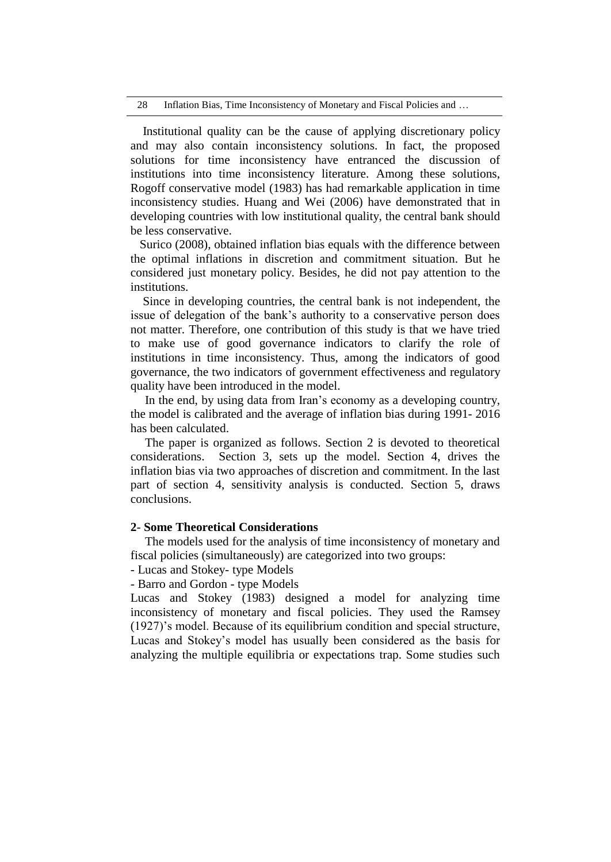Institutional quality can be the cause of applying discretionary policy and may also contain inconsistency solutions. In fact, the proposed solutions for time inconsistency have entranced the discussion of institutions into time inconsistency literature. Among these solutions, Rogoff conservative model (1983) has had remarkable application in time inconsistency studies. Huang and Wei (2006) have demonstrated that in developing countries with low institutional quality, the central bank should be less conservative.

 Surico (2008), obtained inflation bias equals with the difference between the optimal inflations in discretion and commitment situation. But he considered just monetary policy. Besides, he did not pay attention to the institutions.

 Since in developing countries, the central bank is not independent, the issue of delegation of the bank's authority to a conservative person does not matter. Therefore, one contribution of this study is that we have tried to make use of good governance indicators to clarify the role of institutions in time inconsistency. Thus, among the indicators of good governance, the two indicators of government effectiveness and regulatory quality have been introduced in the model.

In the end, by using data from Iran's economy as a developing country, the model is calibrated and the average of inflation bias during 1991- 2016 has been calculated.

The paper is organized as follows. Section 2 is devoted to theoretical considerations. Section 3, sets up the model. Section 4, drives the inflation bias via two approaches of discretion and commitment. In the last part of section 4, sensitivity analysis is conducted. Section 5, draws conclusions.

## **2**- **Some Theoretical Considerations**

The models used for the analysis of time inconsistency of monetary and fiscal policies (simultaneously) are categorized into two groups:

- Lucas and Stokey- type Models

# - Barro and Gordon - type Models

Lucas and Stokey (1983) designed a model for analyzing time inconsistency of monetary and fiscal policies. They used the Ramsey (1927)'s model. Because of its equilibrium condition and special structure, Lucas and Stokey's model has usually been considered as the basis for analyzing the multiple equilibria or expectations trap. Some studies such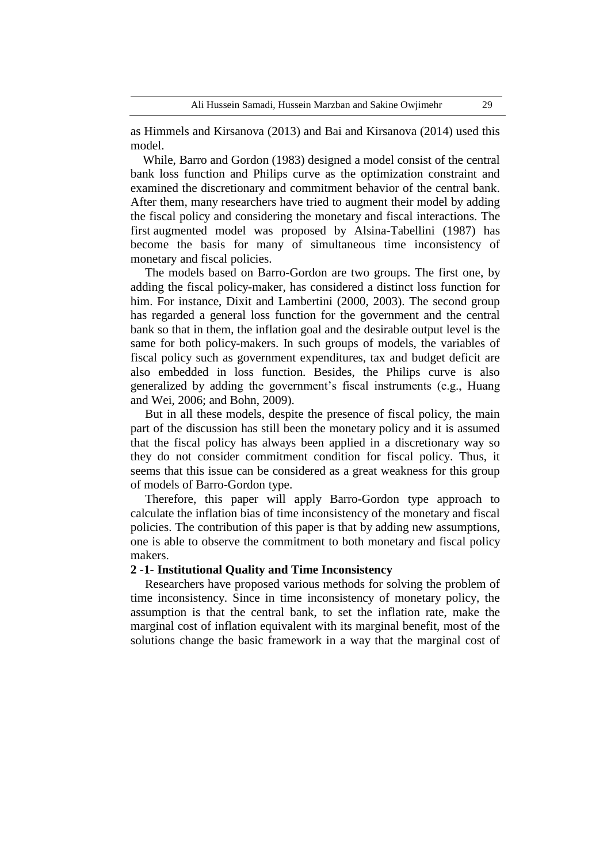as Himmels and Kirsanova (2013) and Bai and Kirsanova (2014) used this model.

 While, Barro and Gordon (1983) designed a model consist of the central bank loss function and Philips curve as the optimization constraint and examined the discretionary and commitment behavior of the central bank. After them, many researchers have tried to augment their model by adding the fiscal policy and considering the monetary and fiscal interactions. The first augmented model was proposed by Alsina-Tabellini (1987) has become the basis for many of simultaneous time inconsistency of monetary and fiscal policies.

The models based on Barro-Gordon are two groups. The first one, by adding the fiscal policy-maker, has considered a distinct loss function for him. For instance, Dixit and Lambertini (2000, 2003). The second group has regarded a general loss function for the government and the central bank so that in them, the inflation goal and the desirable output level is the same for both policy-makers. In such groups of models, the variables of fiscal policy such as government expenditures, tax and budget deficit are also embedded in loss function. Besides, the Philips curve is also generalized by adding the government's fiscal instruments (e.g., Huang and Wei, 2006; and Bohn, 2009).

But in all these models, despite the presence of fiscal policy, the main part of the discussion has still been the monetary policy and it is assumed that the fiscal policy has always been applied in a discretionary way so they do not consider commitment condition for fiscal policy. Thus, it seems that this issue can be considered as a great weakness for this group of models of Barro-Gordon type.

Therefore, this paper will apply Barro-Gordon type approach to calculate the inflation bias of time inconsistency of the monetary and fiscal policies. The contribution of this paper is that by adding new assumptions, one is able to observe the commitment to both monetary and fiscal policy makers.

## **2** -**1**- **Institutional Quality and Time Inconsistency**

Researchers have proposed various methods for solving the problem of time inconsistency. Since in time inconsistency of monetary policy, the assumption is that the central bank, to set the inflation rate, make the marginal cost of inflation equivalent with its marginal benefit, most of the solutions change the basic framework in a way that the marginal cost of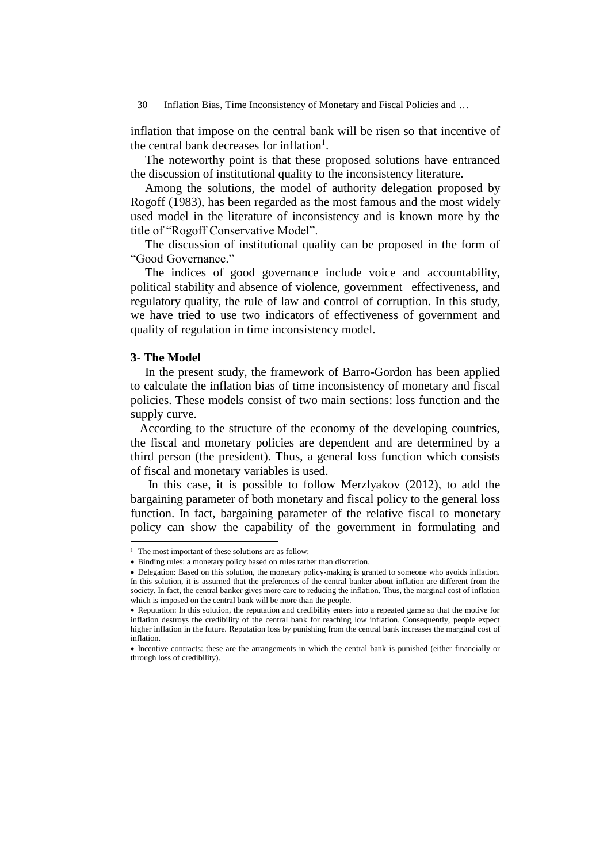inflation that impose on the central bank will be risen so that incentive of the central bank decreases for inflation<sup>1</sup>.

The noteworthy point is that these proposed solutions have entranced the discussion of institutional quality to the inconsistency literature.

Among the solutions, the model of authority delegation proposed by Rogoff (1983), has been regarded as the most famous and the most widely used model in the literature of inconsistency and is known more by the title of "Rogoff Conservative Model".

The discussion of institutional quality can be proposed in the form of "Good Governance."

The indices of good governance include voice and accountability, political stability and absence of violence, government effectiveness, and regulatory quality, the rule of law and control of corruption. In this study, we have tried to use two indicators of effectiveness of government and quality of regulation in time inconsistency model.

### **3**- **The Model**

 $\overline{a}$ 

In the present study, the framework of Barro-Gordon has been applied to calculate the inflation bias of time inconsistency of monetary and fiscal policies. These models consist of two main sections: loss function and the supply curve.

 According to the structure of the economy of the developing countries, the fiscal and monetary policies are dependent and are determined by a third person (the president). Thus, a general loss function which consists of fiscal and monetary variables is used.

In this case, it is possible to follow Merzlyakov (2012), to add the bargaining parameter of both monetary and fiscal policy to the general loss function. In fact, bargaining parameter of the relative fiscal to monetary policy can show the capability of the government in formulating and

<sup>&</sup>lt;sup>1</sup> The most important of these solutions are as follow:

Binding rules: a monetary policy based on rules rather than discretion.

Delegation: Based on this solution, the monetary policy-making is granted to someone who avoids inflation. In this solution, it is assumed that the preferences of the central banker about inflation are different from the society. In fact, the central banker gives more care to reducing the inflation. Thus, the marginal cost of inflation which is imposed on the central bank will be more than the people.

Reputation: In this solution, the reputation and credibility enters into a repeated game so that the motive for inflation destroys the credibility of the central bank for reaching low inflation. Consequently, people expect higher inflation in the future. Reputation loss by punishing from the central bank increases the marginal cost of inflation.

Incentive contracts: these are the arrangements in which the central bank is punished (either financially or through loss of credibility).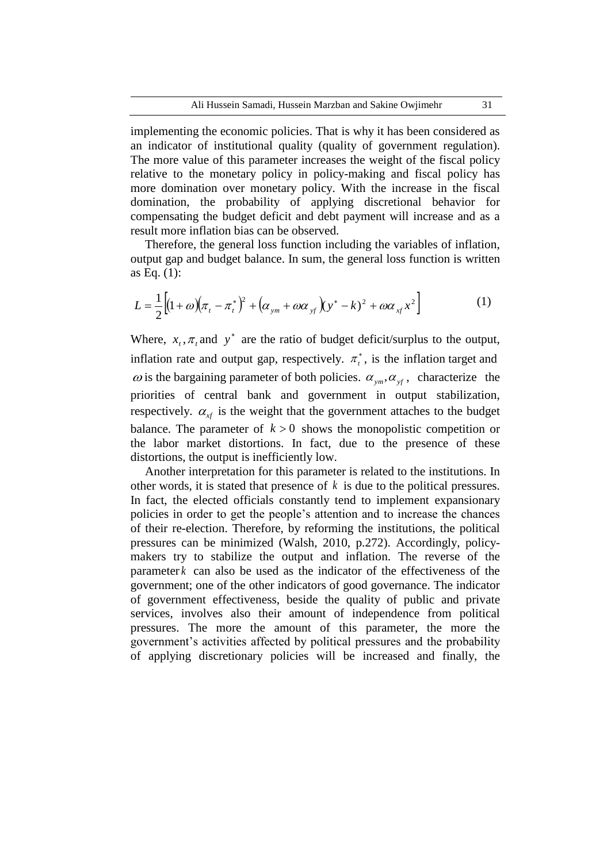implementing the economic policies. That is why it has been considered as an indicator of institutional quality (quality of government regulation). The more value of this parameter increases the weight of the fiscal policy relative to the monetary policy in policy-making and fiscal policy has more domination over monetary policy. With the increase in the fiscal domination, the probability of applying discretional behavior for compensating the budget deficit and debt payment will increase and as a result more inflation bias can be observed.

Therefore, the general loss function including the variables of inflation, output gap and budget balance. In sum, the general loss function is written as Eq. (1):

$$
L = \frac{1}{2} \Big[ (1 + \omega) \big( \pi_t - \pi_t^* \big)^2 + \big( \alpha_{ym} + \omega \alpha_{yf} \big) \big( y^* - k \big)^2 + \omega \alpha_{xf} x^2 \Big] \tag{1}
$$

Where,  $x_t$ ,  $\pi_t$  and  $y^*$  are the ratio of budget deficit/surplus to the output, inflation rate and output gap, respectively.  $\pi_t^*$ , is the inflation target and  $\omega$  is the bargaining parameter of both policies.  $\alpha_{ym}, \alpha_{yr}$ , characterize the priorities of central bank and government in output stabilization, respectively.  $\alpha_{xf}$  is the weight that the government attaches to the budget balance. The parameter of  $k > 0$  shows the monopolistic competition or the labor market distortions. In fact, due to the presence of these distortions, the output is inefficiently low.

Another interpretation for this parameter is related to the institutions. In other words, it is stated that presence of  $k$  is due to the political pressures. In fact, the elected officials constantly tend to implement expansionary policies in order to get the people's attention and to increase the chances of their re-election. Therefore, by reforming the institutions, the political pressures can be minimized (Walsh, 2010, p.272). Accordingly, policymakers try to stabilize the output and inflation. The reverse of the parameter *k* can also be used as the indicator of the effectiveness of the government; one of the other indicators of good governance. The indicator of government effectiveness, beside the quality of public and private services, involves also their amount of independence from political pressures. The more the amount of this parameter, the more the government's activities affected by political pressures and the probability of applying discretionary policies will be increased and finally, the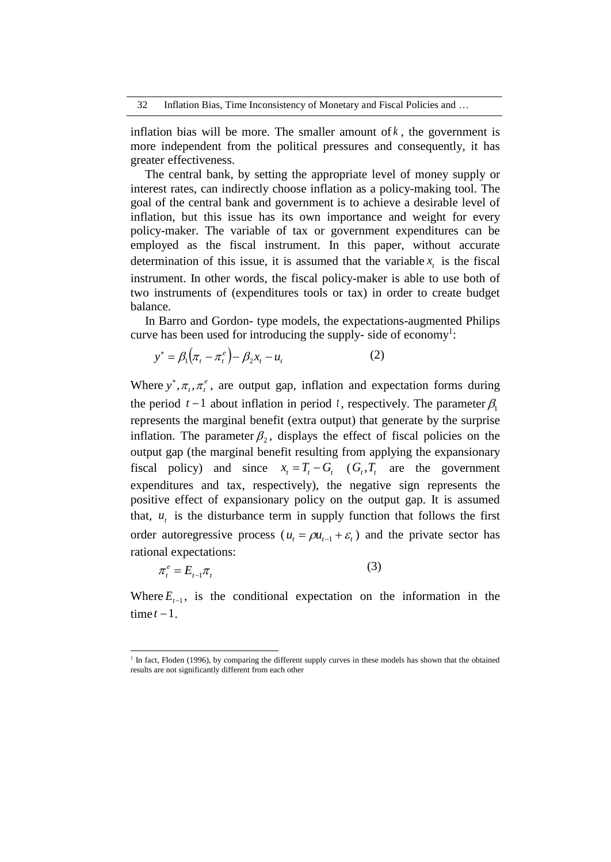inflation bias will be more. The smaller amount of *k* , the government is more independent from the political pressures and consequently, it has greater effectiveness.

The central bank, by setting the appropriate level of money supply or interest rates, can indirectly choose inflation as a policy-making tool. The goal of the central bank and government is to achieve a desirable level of inflation, but this issue has its own importance and weight for every policy-maker. The variable of tax or government expenditures can be employed as the fiscal instrument. In this paper, without accurate determination of this issue, it is assumed that the variable  $x<sub>t</sub>$  is the fiscal instrument. In other words, the fiscal policy-maker is able to use both of two instruments of (expenditures tools or tax) in order to create budget balance.

In Barro and Gordon- type models, the expectations-augmented Philips curve has been used for introducing the supply- side of economy<sup>1</sup>:

$$
y^* = \beta_1 \big( \pi_t - \pi_t^e \big) - \beta_2 x_t - u_t \tag{2}
$$

Where  $y^*, \pi_t, \pi_t^e$  $y^*$ ,  $\pi_t$ ,  $\pi_t^e$ , are output gap, inflation and expectation forms during the period  $t-1$  about inflation in period t, respectively. The parameter  $\beta_1$ represents the marginal benefit (extra output) that generate by the surprise inflation. The parameter  $\beta_2$ , displays the effect of fiscal policies on the output gap (the marginal benefit resulting from applying the expansionary fiscal policy) and since  $x_t = T_t - G_t$   $(G_t, T_t$  are the government expenditures and tax, respectively), the negative sign represents the positive effect of expansionary policy on the output gap. It is assumed that,  $u_t$  is the disturbance term in supply function that follows the first order autoregressive process ( $u_t = \rho u_{t-1} + \varepsilon_t$ ) and the private sector has rational expectations:

$$
\pi_t^e = E_{t-1}\pi_t \tag{3}
$$

 $\overline{a}$ 

Where  $E_{t-1}$ , is the conditional expectation on the information in the  $time t - 1$ .

<sup>&</sup>lt;sup>1</sup> In fact, Floden (1996), by comparing the different supply curves in these models has shown that the obtained results are not significantly different from each other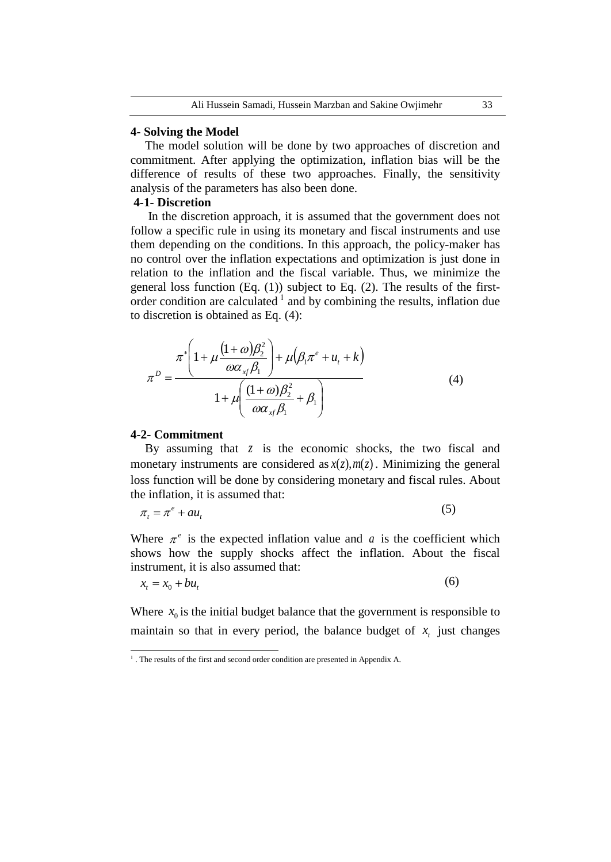#### **4- Solving the Model**

The model solution will be done by two approaches of discretion and commitment. After applying the optimization, inflation bias will be the difference of results of these two approaches. Finally, the sensitivity analysis of the parameters has also been done.

# **4-1- Discretion**

In the discretion approach, it is assumed that the government does not follow a specific rule in using its monetary and fiscal instruments and use them depending on the conditions. In this approach, the policy-maker has no control over the inflation expectations and optimization is just done in relation to the inflation and the fiscal variable. Thus, we minimize the general loss function (Eq. (1)) subject to Eq. (2). The results of the firstorder condition are calculated  $\frac{1}{1}$  and by combining the results, inflation due to discretion is obtained as Eq. (4):

$$
\pi^{D} = \frac{\pi^{*}\left(1+\mu\frac{(1+\omega)\beta_{2}^{2}}{\omega\alpha_{xf}\beta_{1}}\right)+\mu(\beta_{1}\pi^{e}+u_{t}+k)}{1+\mu\left(\frac{(1+\omega)\beta_{2}^{2}}{\omega\alpha_{xf}\beta_{1}}+\beta_{1}\right)}
$$
(4)

## **4-2- Commitment**

By assuming that z is the economic shocks, the two fiscal and monetary instruments are considered as  $x(z)$ ,  $m(z)$ . Minimizing the general loss function will be done by considering monetary and fiscal rules. About the inflation, it is assumed that:

$$
\pi_t = \pi^e + au_t \tag{5}
$$

Where  $\pi^e$  is the expected inflation value and *a* is the coefficient which shows how the supply shocks affect the inflation. About the fiscal instrument, it is also assumed that:

$$
x_t = x_0 + bu_t \tag{6}
$$

Where  $x_0$  is the initial budget balance that the government is responsible to maintain so that in every period, the balance budget of  $x_t$  just changes

 1 . The results of the first and second order condition are presented in Appendix A.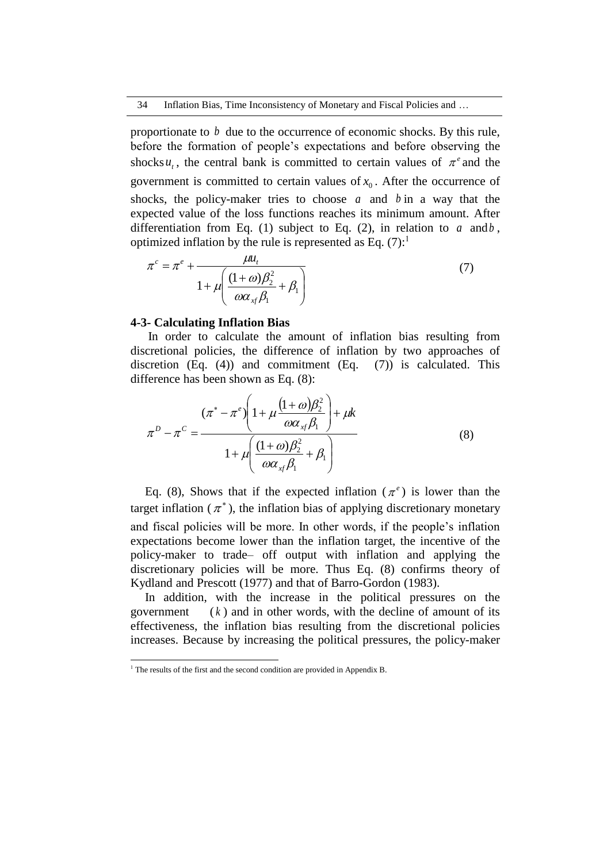proportionate to  $b$  due to the occurrence of economic shocks. By this rule, before the formation of people's expectations and before observing the shocks  $u_t$ , the central bank is committed to certain values of  $\pi^e$  and the government is committed to certain values of  $x_0$ . After the occurrence of shocks, the policy-maker tries to choose  $a$  and  $b$  in a way that the expected value of the loss functions reaches its minimum amount. After differentiation from Eq. (1) subject to Eq. (2), in relation to  $a$  and  $b$ , optimized inflation by the rule is represented as Eq.  $(7)$ :<sup>1</sup>

$$
\pi^{c} = \pi^{e} + \frac{\mu u_{t}}{1 + \mu \left(\frac{(1+\omega)\beta_{2}^{2}}{\omega \alpha_{xf} \beta_{1}} + \beta_{1}\right)}
$$
(7)

### **4-3- Calculating Inflation Bias**

In order to calculate the amount of inflation bias resulting from discretional policies, the difference of inflation by two approaches of discretion (Eq. (4)) and commitment (Eq. (7)) is calculated. This difference has been shown as Eq. (8):

$$
\pi^{D} - \pi^{C} = \frac{(\pi^{*} - \pi^{e}) \left(1 + \mu \frac{(1+\omega)\beta_{2}^{2}}{\omega \alpha_{xf}\beta_{1}}\right) + \mu k}{1 + \mu \left(\frac{(1+\omega)\beta_{2}^{2}}{\omega \alpha_{xf}\beta_{1}} + \beta_{1}\right)}
$$
(8)

Eq. (8), Shows that if the expected inflation  $(\pi^e)$  is lower than the target inflation ( $\pi^*$ ), the inflation bias of applying discretionary monetary and fiscal policies will be more. In other words, if the people's inflation expectations become lower than the inflation target, the incentive of the policy-maker to trade– off output with inflation and applying the discretionary policies will be more. Thus Eq. (8) confirms theory of Kydland and Prescott (1977) and that of Barro-Gordon (1983).

In addition, with the increase in the political pressures on the government *k* ) and in other words, with the decline of amount of its effectiveness, the inflation bias resulting from the discretional policies increases. Because by increasing the political pressures, the policy-maker

 $\overline{a}$ 

<sup>&</sup>lt;sup>1</sup> The results of the first and the second condition are provided in Appendix B.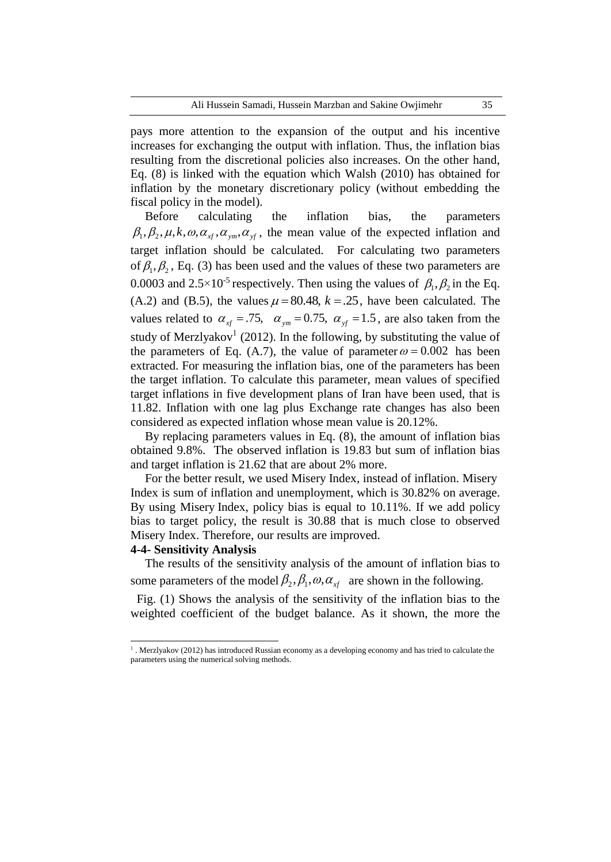pays more attention to the expansion of the output and his incentive increases for exchanging the output with inflation. Thus, the inflation bias resulting from the discretional policies also increases. On the other hand, Eq. (8) is linked with the equation which Walsh (2010) has obtained for inflation by the monetary discretionary policy (without embedding the fiscal policy in the model).

Before calculating the inflation bias, the parameters  $\beta_1, \beta_2, \mu, k, \omega, \alpha_{xf}, \alpha_{yn}, \alpha_{yf}$ , the mean value of the expected inflation and target inflation should be calculated. For calculating two parameters of  $\beta_1$ ,  $\beta_2$ , Eq. (3) has been used and the values of these two parameters are 0.0003 and 2.5×10<sup>-5</sup> respectively. Then using the values of  $\beta_1$ ,  $\beta_2$  in the Eq. (A.2) and (B.5), the values  $\mu = 80.48$ ,  $k = .25$ , have been calculated. The values related to  $\alpha_{xf} = .75$ ,  $\alpha_{yn} = 0.75$ ,  $\alpha_{yf} = 1.5$ , are also taken from the study of Merzlyakov<sup>1</sup> (2012). In the following, by substituting the value of the parameters of Eq. (A.7), the value of parameter  $\omega = 0.002$  has been extracted. For measuring the inflation bias, one of the parameters has been the target inflation. To calculate this parameter, mean values of specified target inflations in five development plans of Iran have been used, that is 11.82. Inflation with one lag plus Exchange rate changes has also been considered as expected inflation whose mean value is 20.12%.

By replacing parameters values in Eq. (8), the amount of inflation bias obtained 9.8%. The observed inflation is 19.83 but sum of inflation bias and target inflation is 21.62 that are about 2% more.

For the better result, we used Misery Index, instead of inflation. Misery Index is sum of inflation and unemployment, which is 30.82% on average. By using Misery Index, policy bias is equal to 10.11%. If we add policy bias to target policy, the result is 30.88 that is much close to observed Misery Index. Therefore, our results are improved.

#### **4-4- Sensitivity Analysis**

 $\overline{a}$ 

The results of the sensitivity analysis of the amount of inflation bias to some parameters of the model  $\beta_2$ ,  $\beta_1$ ,  $\omega$ ,  $\alpha_{xf}$  are shown in the following.

 Fig. (1) Shows the analysis of the sensitivity of the inflation bias to the weighted coefficient of the budget balance. As it shown, the more the

<sup>1</sup> . Merzlyakov (2012) has introduced Russian economy as a developing economy and has tried to calculate the parameters using the numerical solving methods.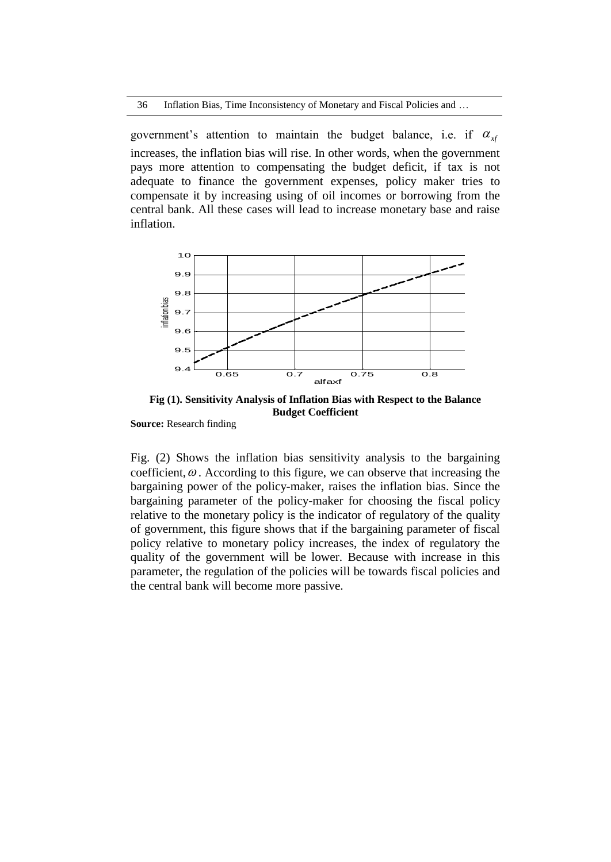government's attention to maintain the budget balance, i.e. if  $\alpha_{xy}$ increases, the inflation bias will rise. In other words, when the government pays more attention to compensating the budget deficit, if tax is not adequate to finance the government expenses, policy maker tries to compensate it by increasing using of oil incomes or borrowing from the central bank. All these cases will lead to increase monetary base and raise inflation.



**Fig (1). Sensitivity Analysis of Inflation Bias with Respect to the Balance Budget Coefficient**

**Source:** Research finding

Fig. (2) Shows the inflation bias sensitivity analysis to the bargaining coefficient,  $\omega$ . According to this figure, we can observe that increasing the bargaining power of the policy-maker, raises the inflation bias. Since the bargaining parameter of the policy-maker for choosing the fiscal policy relative to the monetary policy is the indicator of regulatory of the quality of government, this figure shows that if the bargaining parameter of fiscal policy relative to monetary policy increases, the index of regulatory the quality of the government will be lower. Because with increase in this parameter, the regulation of the policies will be towards fiscal policies and the central bank will become more passive.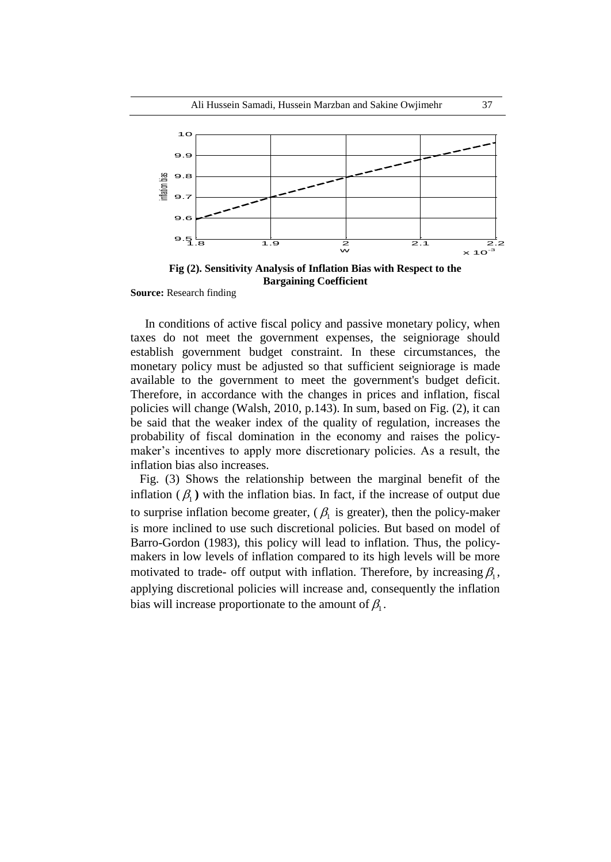

**Fig (2). Sensitivity Analysis of Inflation Bias with Respect to the Bargaining Coefficient** 

**Source:** Research finding

In conditions of active fiscal policy and passive monetary policy, when taxes do not meet the government expenses, the seigniorage should establish government budget constraint. In these circumstances, the monetary policy must be adjusted so that sufficient seigniorage is made available to the government to meet the government's budget deficit. Therefore, in accordance with the changes in prices and inflation, fiscal policies will change (Walsh, 2010, p.143). In sum, based on Fig. (2), it can be said that the weaker index of the quality of regulation, increases the probability of fiscal domination in the economy and raises the policymaker's incentives to apply more discretionary policies. As a result, the inflation bias also increases.

 Fig. (3) Shows the relationship between the marginal benefit of the inflation  $(\beta_1)$  with the inflation bias. In fact, if the increase of output due to surprise inflation become greater,  $(\beta_1)$  is greater), then the policy-maker is more inclined to use such discretional policies. But based on model of Barro-Gordon (1983), this policy will lead to inflation. Thus, the policymakers in low levels of inflation compared to its high levels will be more motivated to trade- off output with inflation. Therefore, by increasing  $\beta_1$ , applying discretional policies will increase and, consequently the inflation bias will increase proportionate to the amount of  $\beta_1$ .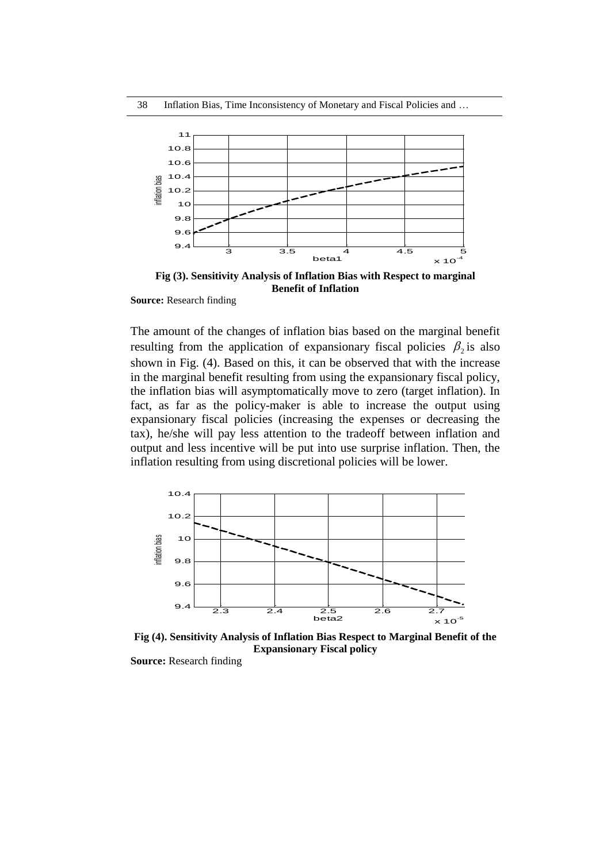

**Fig (3). Sensitivity Analysis of Inflation Bias with Respect to marginal Benefit of Inflation**

**Source:** Research finding

The amount of the changes of inflation bias based on the marginal benefit resulting from the application of expansionary fiscal policies  $\beta_2$  is also shown in Fig. (4). Based on this, it can be observed that with the increase in the marginal benefit resulting from using the expansionary fiscal policy, the inflation bias will asymptomatically move to zero (target inflation). In fact, as far as the policy-maker is able to increase the output using expansionary fiscal policies (increasing the expenses or decreasing the tax), he/she will pay less attention to the tradeoff between inflation and output and less incentive will be put into use surprise inflation. Then, the inflation resulting from using discretional policies will be lower.



**Fig (4). Sensitivity Analysis of Inflation Bias Respect to Marginal Benefit of the Expansionary Fiscal policy**

**Source:** Research finding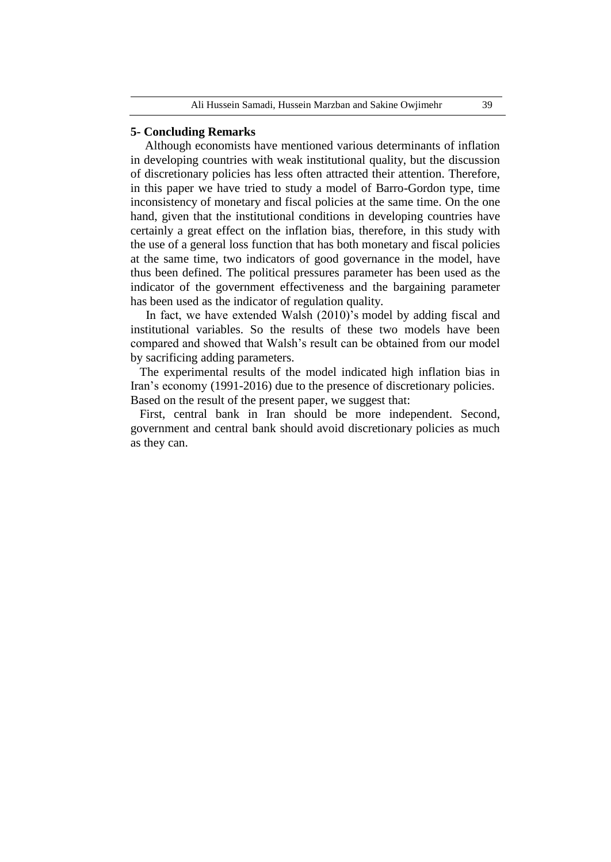# **5- Concluding Remarks**

Although economists have mentioned various determinants of inflation in developing countries with weak institutional quality, but the discussion of discretionary policies has less often attracted their attention. Therefore, in this paper we have tried to study a model of Barro-Gordon type, time inconsistency of monetary and fiscal policies at the same time. On the one hand, given that the institutional conditions in developing countries have certainly a great effect on the inflation bias, therefore, in this study with the use of a general loss function that has both monetary and fiscal policies at the same time, two indicators of good governance in the model, have thus been defined. The political pressures parameter has been used as the indicator of the government effectiveness and the bargaining parameter has been used as the indicator of regulation quality.

 In fact, we have extended Walsh (2010)'s model by adding fiscal and institutional variables. So the results of these two models have been compared and showed that Walsh's result can be obtained from our model by sacrificing adding parameters.

 The experimental results of the model indicated high inflation bias in Iran's economy (1991-2016) due to the presence of discretionary policies. Based on the result of the present paper, we suggest that:

 First, central bank in Iran should be more independent. Second, government and central bank should avoid discretionary policies as much as they can.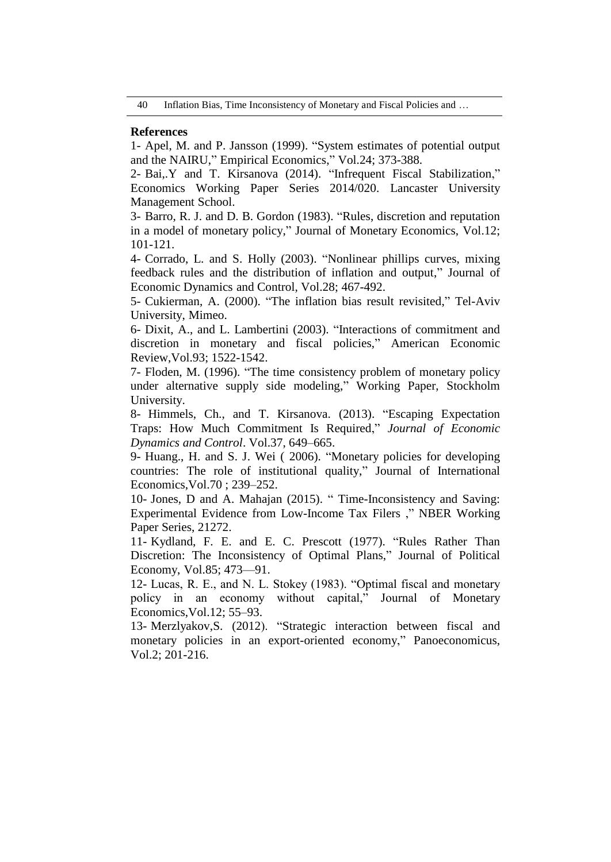### **References**

1- Apel, M. and P. Jansson (1999). "System estimates of potential output and the NAIRU," Empirical Economics," Vol.24; 373-388.

2- Bai,.Y and T. Kirsanova (2014). "Infrequent Fiscal Stabilization," Economics Working Paper Series 2014/020. Lancaster University Management School.

3- Barro, R. J. and D. B. Gordon (1983). "Rules, discretion and reputation in a model of monetary policy," Journal of Monetary Economics, Vol.12; 101-121.

4- Corrado, L. and S. Holly (2003). ["Nonlinear phillips curves, mixing](http://dx.doi.org/10.1016/S0165-1889%2802%2900184-7)  [feedback rules and the distribution of inflation and output,](http://dx.doi.org/10.1016/S0165-1889%2802%2900184-7)" Journal of Economic Dynamics and Control, Vol.28; 467-492.

5- Cukierman, A. (2000). "The inflation bias result revisited," Tel-Aviv University, Mimeo.

6- Dixit, A., and L. Lambertini (2003). "Interactions of commitment and discretion in monetary and fiscal policies," American Economic Review,Vol.93; 1522-1542.

7- Floden, M. (1996). "The time consistency problem of monetary policy under alternative supply side modeling," Working Paper, Stockholm University.

8- Himmels, Ch., and T. Kirsanova. (2013). "Escaping Expectation Traps: How Much Commitment Is Required," *Journal of Economic Dynamics and Control*. Vol.37, 649–665.

9- Huang., H. and S. J. Wei ( 2006). "Monetary policies for developing countries: The role of institutional quality," Journal of International Economics,Vol.70 ; 239–252.

10- Jones, D and A. Mahajan (2015). " Time-Inconsistency and Saving: Experimental Evidence from Low-Income Tax Filers ," NBER Working Paper Series, 21272.

11- Kydland, F. E. and E. C. Prescott (1977). "Rules Rather Than Discretion: The Inconsistency of Optimal Plans," Journal of Political Economy, Vol.85; 473—91.

12- Lucas, R. E., and N. L. Stokey (1983). "Optimal fiscal and monetary policy in an economy without capital," Journal of Monetary Economics,Vol.12; 55–93.

13- Merzlyakov,S. (2012). "Strategic interaction between fiscal and monetary policies in an export-oriented economy," Panoeconomicus, Vol.2; 201-216.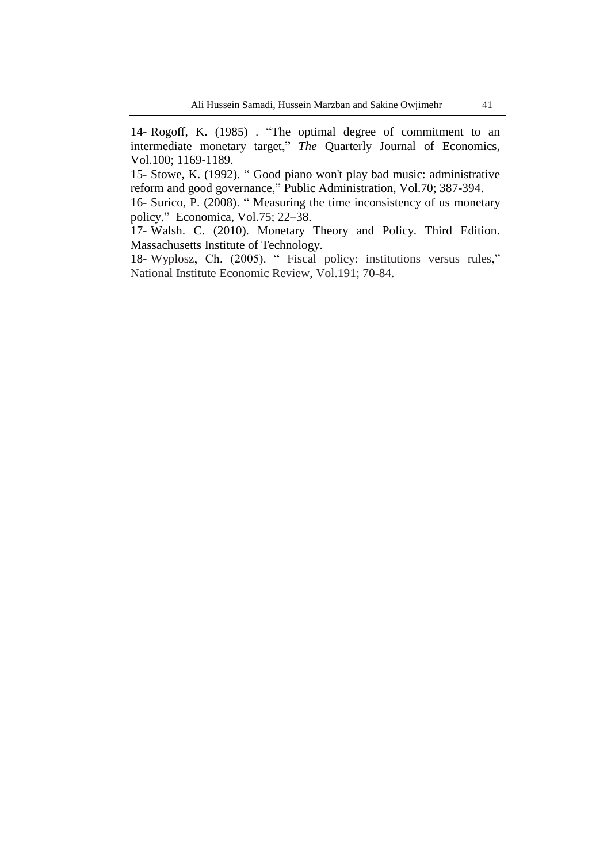14- Rogoff, K. (1985) . "The optimal degree of commitment to an intermediate monetary target," *The* Quarterly Journal of Economics, Vol.100; 1169-1189.

15- Stowe, K. (1992). " Good piano won't play bad music: administrative reform and good governance," Public Administration, Vol.70; 387-394.

16- Surico, P. (2008). " Measuring the time inconsistency of us monetary policy," Economica, Vol.75; 22–38.

17- Walsh. C. (2010). Monetary Theory and Policy. Third Edition. Massachusetts Institute of Technology.

18- Wyplosz, Ch. (2005). " Fiscal policy: institutions versus rules," National Institute Economic Review, Vol.191; 70-84.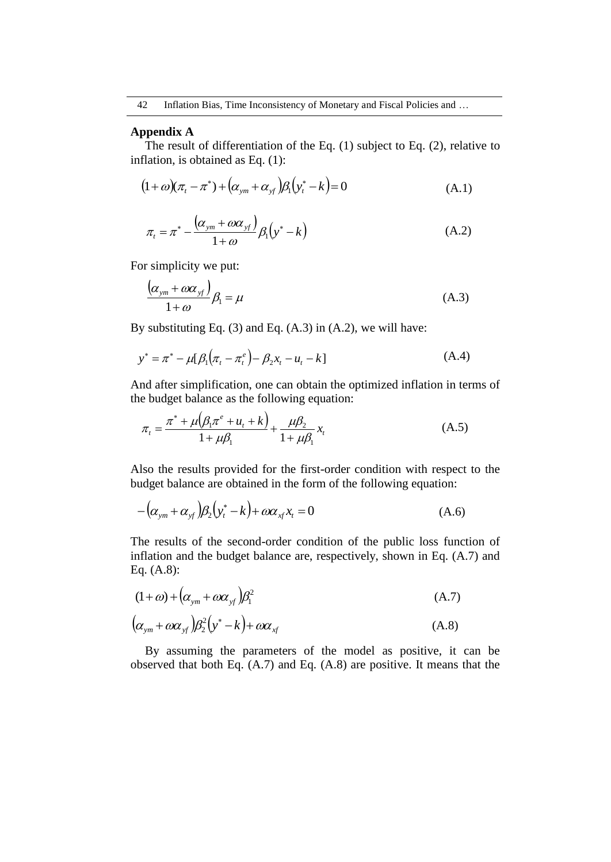#### **Appendix A**

The result of differentiation of the Eq. (1) subject to Eq. (2), relative to inflation, is obtained as Eq. (1):

$$
(1+\omega)(\pi_t - \pi^*) + (\alpha_{ym} + \alpha_{yr})\beta_1(y_t^* - k) = 0
$$
 (A.1)

$$
\pi_t = \pi^* - \frac{(\alpha_{ym} + \omega \alpha_{xf})}{1 + \omega} \beta_1 (y^* - k)
$$
\n(A.2)

For simplicity we put:

$$
\frac{(\alpha_{ym} + \omega \alpha_{gf})}{1 + \omega} \beta_1 = \mu
$$
 (A.3)

By substituting Eq. (3) and Eq. (A.3) in (A.2), we will have:

$$
y^* = \pi^* - \mu[\beta_1(\pi_t - \pi_t^e) - \beta_2 x_t - u_t - k]
$$
 (A.4)

And after simplification, one can obtain the optimized inflation in terms of the budget balance as the following equation:

$$
\pi_{t} = \frac{\pi^{*} + \mu(\beta_{1}\pi^{e} + u_{t} + k)}{1 + \mu\beta_{1}} + \frac{\mu\beta_{2}}{1 + \mu\beta_{1}}x_{t}
$$
\n(A.5)

Also the results provided for the first-order condition with respect to the budget balance are obtained in the form of the following equation:

$$
-(\alpha_{ym} + \alpha_{xf})\beta_2(y_t^* - k) + \omega \alpha_{xf} x_t = 0
$$
\n(A.6)

The results of the second-order condition of the public loss function of inflation and the budget balance are, respectively, shown in Eq. (A.7) and Eq. (A.8):

$$
(1+\omega) + (\alpha_{ym} + \omega \alpha_{wf})\beta_1^2 \tag{A.7}
$$

$$
\left(\alpha_{\rm ym} + \alpha \alpha_{\rm yf}\right) \beta_2^2 \left(\mathbf{y}^* - \mathbf{k}\right) + \alpha \alpha_{\rm xf} \tag{A.8}
$$

By assuming the parameters of the model as positive, it can be observed that both Eq. (A.7) and Eq. (A.8) are positive. It means that the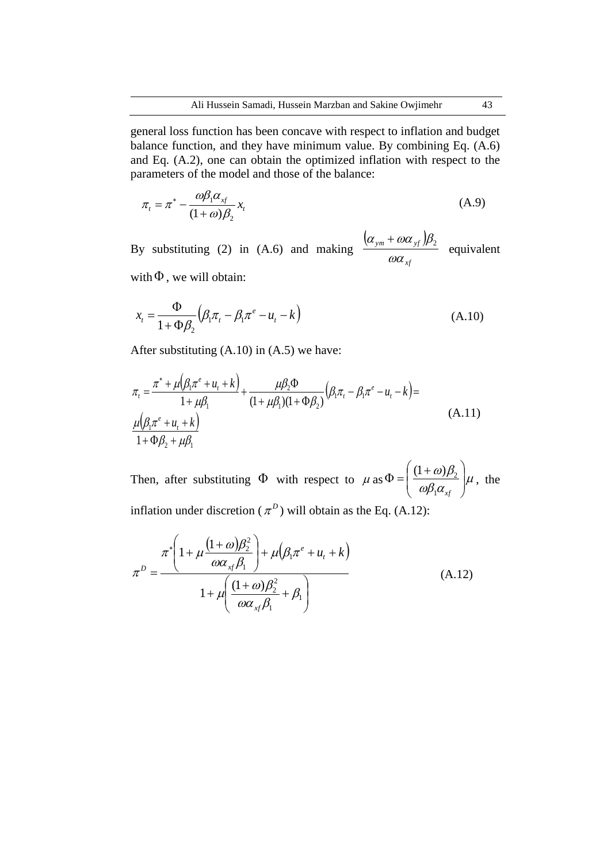general loss function has been concave with respect to inflation and budget balance function, and they have minimum value. By combining Eq. (A.6) and Eq. (A.2), one can obtain the optimized inflation with respect to the parameters of the model and those of the balance:

$$
\pi_t = \pi^* - \frac{\omega \beta_1 \alpha_{xf}}{(1+\omega)\beta_2} x_t \tag{A.9}
$$

By substituting (2) in (A.6) and making  $(\alpha_{_{\rm\scriptscriptstyle V\!I\!I\!I}}+\varpi\alpha_{_{\rm\scriptscriptstyle V\!I\!I}})$ *xf*  $y_m$   $\omega u_y$  $\omega\alpha$  $(\alpha_{_{\it ym}} + \varpi \alpha_{_{\it yf}})\beta_{_{\it 2}}$ equivalent

with  $\Phi$ , we will obtain:

$$
x_t = \frac{\Phi}{1 + \Phi \beta_2} \left( \beta_1 \pi_t - \beta_1 \pi^e - u_t - k \right)
$$
 (A.10)

After substituting (A.10) in (A.5) we have:

$$
\pi_{t} = \frac{\pi^{*} + \mu(\beta_{1}\pi^{e} + u_{t} + k)}{1 + \mu\beta_{1}} + \frac{\mu\beta_{2}\Phi}{(1 + \mu\beta_{1})(1 + \Phi\beta_{2})}\left(\beta_{1}\pi_{t} - \beta_{1}\pi^{e} - u_{t} - k\right) =
$$
\n
$$
\frac{\mu(\beta_{1}\pi^{e} + u_{t} + k)}{1 + \Phi\beta_{2} + \mu\beta_{1}} \tag{A.11}
$$

Then, after substituting  $\Phi$  with respect to  $\mu$  as  $\Phi = \left(\frac{(1+\omega)p_2}{\omega\beta_1\alpha_{\rm rf}}\right)\mu$  $\omega$ ) $\beta$  $\overline{\phantom{a}}$  $\overline{\phantom{a}}$ J  $\setminus$  $\mathsf{I}$  $\mathsf{I}$  $\overline{\mathcal{L}}$  $\Phi = \frac{(1+$  $1 - x$ *xf*  $(1+\omega)\beta_2$ , the inflation under discretion  $(\pi^D)$  will obtain as the Eq. (A.12):

$$
\pi^{D} = \frac{\pi^{*}\left(1+\mu\frac{(1+\omega)\beta_{2}^{2}}{\omega\alpha_{xf}\beta_{1}}\right)+\mu(\beta_{1}\pi^{e}+u_{t}+k)}{1+\mu\left(\frac{(1+\omega)\beta_{2}^{2}}{\omega\alpha_{xf}\beta_{1}}+\beta_{1}\right)}
$$
(A.12)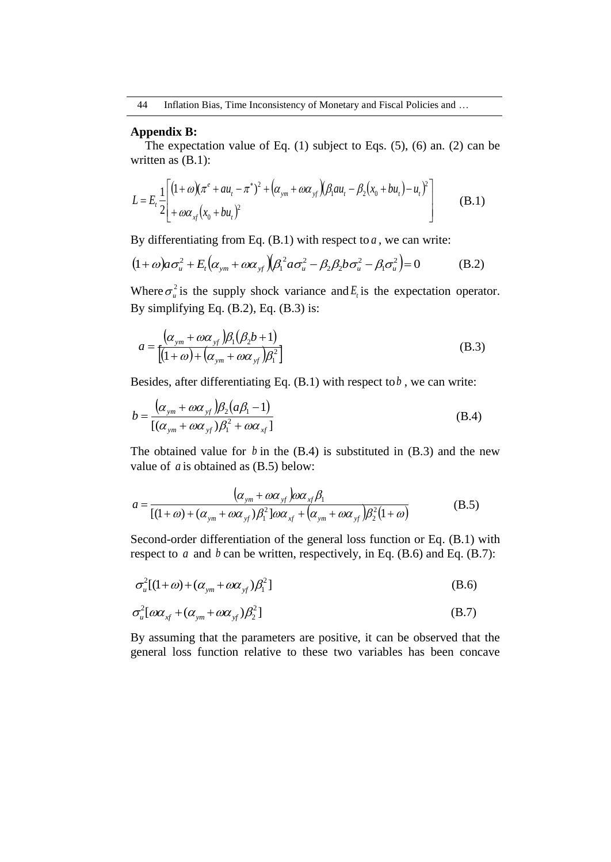### **Appendix B:**

The expectation value of Eq.  $(1)$  subject to Eqs.  $(5)$ ,  $(6)$  an.  $(2)$  can be written as  $(B.1)$ :

$$
L = E_t \frac{1}{2} \left[ \left( 1 + \omega \right) (\pi^e + a u_t - \pi^*)^2 + \left( \alpha_{ym} + \omega \alpha_{m} \right) (\beta_1 a u_t - \beta_2 (x_0 + b u_t) - u_t)^2 \right] \tag{B.1}
$$

By differentiating from Eq.  $(B.1)$  with respect to  $a$ , we can write:

$$
(1+\omega)a\sigma_u^2 + E_t(\alpha_{ym} + \omega\alpha_{m})\left(\beta_1^2a\sigma_u^2 - \beta_2\beta_2b\sigma_u^2 - \beta_1\sigma_u^2\right) = 0
$$
 (B.2)

Where  $\sigma_u^2$  is the supply shock variance and  $E_t$  is the expectation operator. By simplifying Eq. (B.2), Eq. (B.3) is:

$$
a = \frac{(\alpha_{ym} + \omega \alpha_{yf})\beta_1(\beta_2 b + 1)}{[(1 + \omega) + (\alpha_{ym} + \omega \alpha_{yf})\beta_1^2]}
$$
(B.3)

Besides, after differentiating Eq. (B.1) with respect to *b* , we can write:

$$
b = \frac{(\alpha_{\scriptscriptstyle ym} + \omega \alpha_{\scriptscriptstyle yf}) \beta_2 (a \beta_1 - 1)}{[(\alpha_{\scriptscriptstyle ym} + \omega \alpha_{\scriptscriptstyle yf}) \beta_1^2 + \omega \alpha_{\scriptscriptstyle xf}]}
$$
(B.4)

The obtained value for  $b$  in the  $(B.4)$  is substituted in  $(B.3)$  and the new value of  $a$  is obtained as  $(B.5)$  below:

$$
a = \frac{(\alpha_{ym} + \omega \alpha_{xf}) \omega \alpha_{xf} \beta_1}{[(1 + \omega) + (\alpha_{ym} + \omega \alpha_{xf}) \beta_1^2] \omega \alpha_{xf} + (\alpha_{ym} + \omega \alpha_{xf}) \beta_2^2 (1 + \omega)}
$$
(B.5)

Second-order differentiation of the general loss function or Eq. (B.1) with respect to  $a$  and  $b$  can be written, respectively, in Eq. (B.6) and Eq. (B.7):

$$
\sigma_u^2[(1+\omega) + (\alpha_{ym} + \omega \alpha_{m})\beta_1^2] \tag{B.6}
$$

$$
\sigma_u^2[\omega\alpha_{xf} + (\alpha_{ym} + \omega\alpha_{xf})\beta_2^2]
$$
\n(B.7)

By assuming that the parameters are positive, it can be observed that the general loss function relative to these two variables has been concave